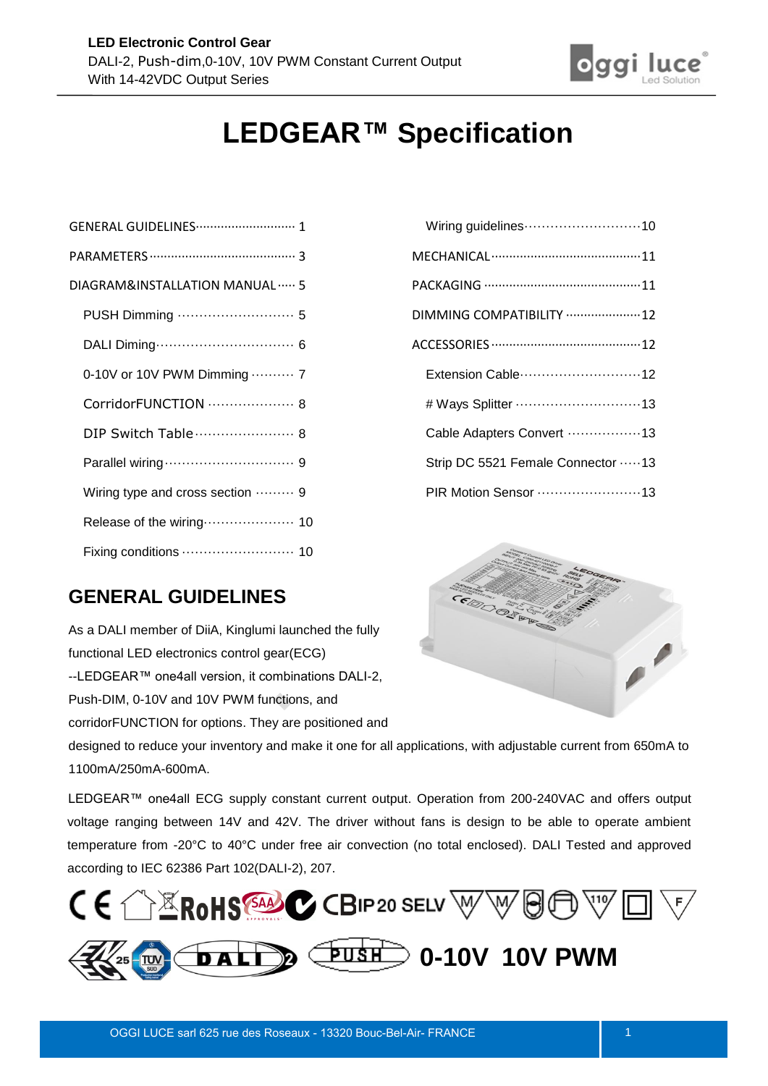

# **LEDGEAR™ Specification**

| DIAGRAM&INSTALLATION MANUAL  5   |
|----------------------------------|
|                                  |
|                                  |
| 0-10V or 10V PWM Dimming  7      |
| CorridorFUNCTION  8              |
| DIP Switch Table  8              |
|                                  |
| Wiring type and cross section  9 |
| Release of the wiring 10         |
|                                  |

| Wiring guidelines10               |
|-----------------------------------|
|                                   |
|                                   |
| DIMMING COMPATIBILITY  12         |
|                                   |
| Extension Cable 12                |
| # Ways Splitter 13                |
| Cable Adapters Convert 13         |
| Strip DC 5521 Female Connector 13 |
| PIR Motion Sensor 13              |

# <span id="page-0-0"></span>**GENERAL GUIDELINES**

As a DALI member of DiiA, Kinglumi launched the fully functional LED electronics control gear(ECG) --LEDGEAR™ one4all version, it combinations DALI-2, Push-DIM, 0-10V and 10V PWM functions, and corridorFUNCTION for options. They are positioned and



designed to reduce your inventory and make it one for all applications, with adjustable current from 650mA to 1100mA/250mA-600mA.

LEDGEAR™ one4all ECG supply constant current output. Operation from 200-240VAC and offers output voltage ranging between 14V and 42V. The driver without fans is design to be able to operate ambient temperature from -20°C to 40°C under free air convection (no total enclosed). DALI Tested and approved according to IEC 62386 Part 102(DALI-2), 207.

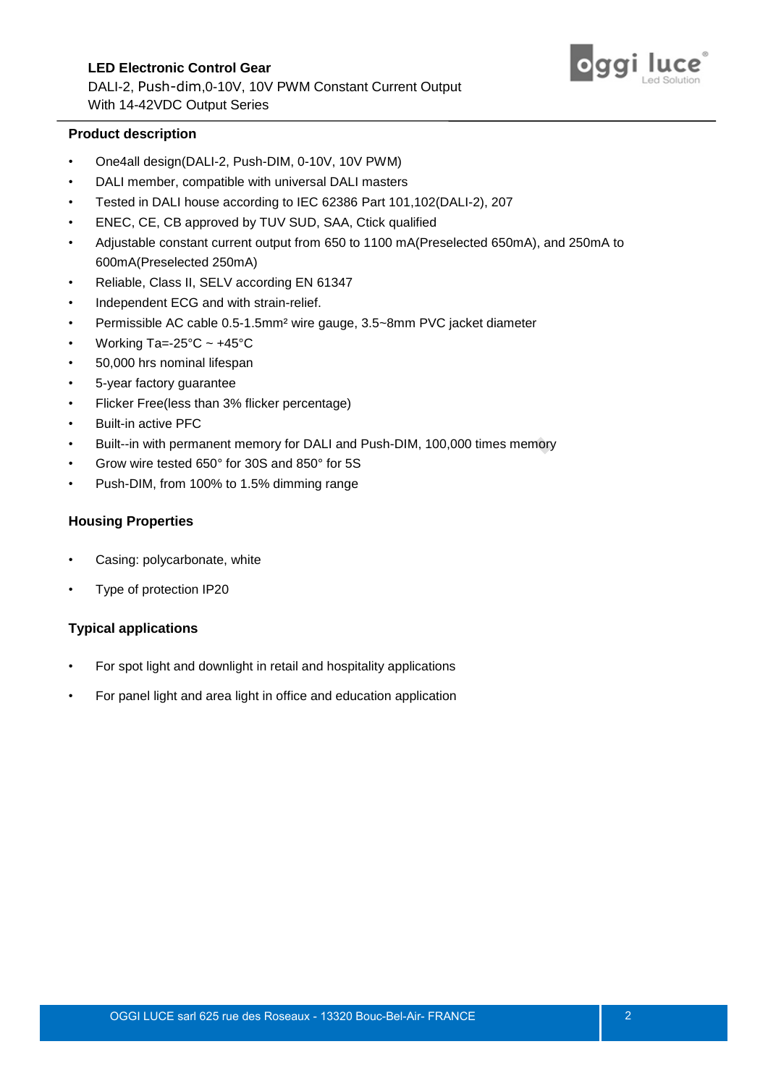# **LED Electronic Control Gear**  DALI-2, Push-dim,0-10V, 10V PWM Constant Current Output With 14-42VDC Output Series



#### **Product description**

- One4all design(DALI-2, Push-DIM, 0-10V, 10V PWM)
- DALI member, compatible with universal DALI masters
- Tested in DALI house according to IEC 62386 Part 101,102(DALI-2), 207
- ENEC, CE, CB approved by TUV SUD, SAA, Ctick qualified
- Adjustable constant current output from 650 to 1100 mA(Preselected 650mA), and 250mA to 600mA(Preselected 250mA)
- Reliable, Class II, SELV according EN 61347
- Independent ECG and with strain-relief.
- Permissible AC cable 0.5-1.5mm² wire gauge, 3.5~8mm PVC jacket diameter
- Working Ta=-25 $°C \sim +45°C$
- 50,000 hrs nominal lifespan
- 5-year factory guarantee
- Flicker Free(less than 3% flicker percentage)
- Built-in active PFC
- Built--in with permanent memory for DALI and Push-DIM, 100,000 times memory
- Grow wire tested 650° for 30S and 850° for 5S
- Push-DIM, from 100% to 1.5% dimming range

#### **Housing Properties**

- Casing: polycarbonate, white
- Type of protection IP20

#### **Typical applications**

- For spot light and downlight in retail and hospitality applications
- For panel light and area light in office and education application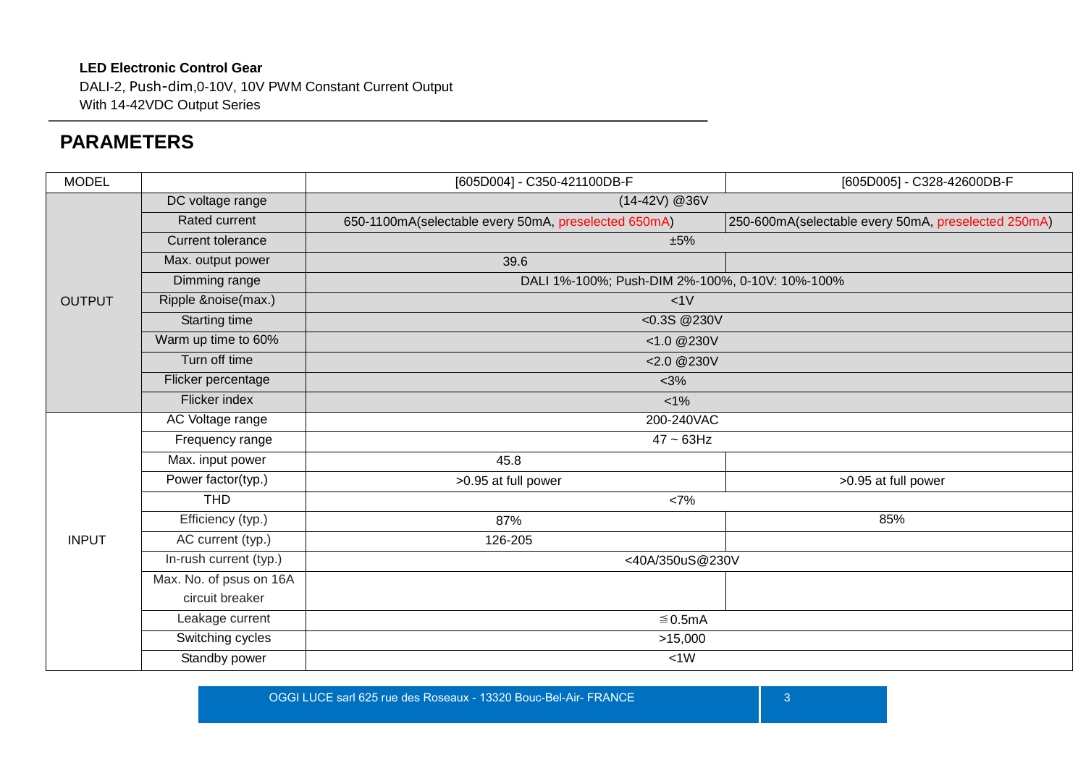DALI-2, Push-dim,0-10V, 10V PWM Constant Current Output With 14-42VDC Output Series

# **PARAMETERS**

<span id="page-2-0"></span>

| <b>MODEL</b>  |                          | [605D004] - C350-421100DB-F<br>[605D005] - C328-42600DB-F |                                                     |  |  |  |
|---------------|--------------------------|-----------------------------------------------------------|-----------------------------------------------------|--|--|--|
|               | DC voltage range         | $(14-42V)$ @36V                                           |                                                     |  |  |  |
|               | Rated current            | 650-1100mA(selectable every 50mA, preselected 650mA)      | 250-600mA(selectable every 50mA, preselected 250mA) |  |  |  |
|               | <b>Current tolerance</b> | ±5%                                                       |                                                     |  |  |  |
|               | Max. output power        | 39.6                                                      |                                                     |  |  |  |
|               | Dimming range            | DALI 1%-100%; Push-DIM 2%-100%, 0-10V: 10%-100%           |                                                     |  |  |  |
| <b>OUTPUT</b> | Ripple &noise(max.)      | <1V                                                       |                                                     |  |  |  |
|               | Starting time            | <0.3S @230V                                               |                                                     |  |  |  |
|               | Warm up time to 60%      | <1.0 @230V                                                |                                                     |  |  |  |
|               | Turn off time            | <2.0 @230V                                                |                                                     |  |  |  |
|               | Flicker percentage       | < 3%                                                      |                                                     |  |  |  |
|               | Flicker index            | $1\%$                                                     |                                                     |  |  |  |
|               | AC Voltage range         | 200-240VAC                                                |                                                     |  |  |  |
|               | Frequency range          | $47 - 63$ Hz                                              |                                                     |  |  |  |
|               | Max. input power         | 45.8                                                      |                                                     |  |  |  |
|               | Power factor(typ.)       | >0.95 at full power                                       | >0.95 at full power                                 |  |  |  |
|               | <b>THD</b>               | <7%                                                       |                                                     |  |  |  |
|               | Efficiency (typ.)        | 87%                                                       | 85%                                                 |  |  |  |
| <b>INPUT</b>  | AC current (typ.)        | 126-205                                                   |                                                     |  |  |  |
|               | In-rush current (typ.)   | <40A/350uS@230V                                           |                                                     |  |  |  |
|               | Max. No. of psus on 16A  |                                                           |                                                     |  |  |  |
|               | circuit breaker          |                                                           |                                                     |  |  |  |
|               | Leakage current          | ≤ 0.5mA                                                   |                                                     |  |  |  |
|               | Switching cycles         | >15,000                                                   |                                                     |  |  |  |
|               | Standby power            | <1W                                                       |                                                     |  |  |  |

OGGI LUCE sarl 625 rue des Roseaux - 13320 Bouc-Bel-Air- FRANCE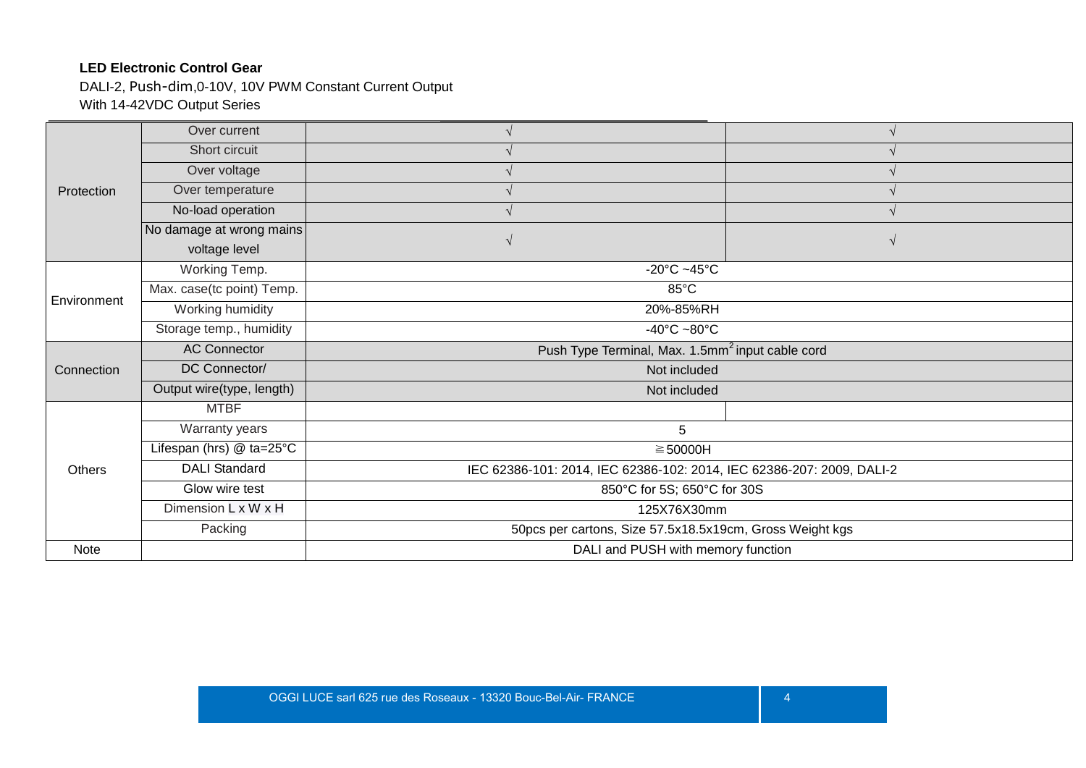DALI-2, Push-dim,0-10V, 10V PWM Constant Current Output With 14-42VDC Output Series

| Over current              |                                                              |                                                                       |  |  |  |
|---------------------------|--------------------------------------------------------------|-----------------------------------------------------------------------|--|--|--|
| Short circuit             |                                                              |                                                                       |  |  |  |
| Over voltage              |                                                              |                                                                       |  |  |  |
| Over temperature          |                                                              |                                                                       |  |  |  |
| No-load operation         |                                                              |                                                                       |  |  |  |
| No damage at wrong mains  |                                                              |                                                                       |  |  |  |
| voltage level             |                                                              |                                                                       |  |  |  |
| Working Temp.             | -20 $^{\circ}$ C ~45 $^{\circ}$ C                            |                                                                       |  |  |  |
| Max. case(tc point) Temp. | 85°C                                                         |                                                                       |  |  |  |
| Working humidity          | 20%-85%RH                                                    |                                                                       |  |  |  |
| Storage temp., humidity   | $-40^{\circ}$ C $-80^{\circ}$ C                              |                                                                       |  |  |  |
| <b>AC Connector</b>       | Push Type Terminal, Max. 1.5mm <sup>2</sup> input cable cord |                                                                       |  |  |  |
| DC Connector/             | Not included                                                 |                                                                       |  |  |  |
| Output wire(type, length) | Not included                                                 |                                                                       |  |  |  |
| <b>MTBF</b>               |                                                              |                                                                       |  |  |  |
| Warranty years            | 5                                                            |                                                                       |  |  |  |
| Lifespan (hrs) @ ta=25°C  | $\geq 50000H$                                                |                                                                       |  |  |  |
| <b>DALI Standard</b>      |                                                              | IEC 62386-101: 2014, IEC 62386-102: 2014, IEC 62386-207: 2009, DALI-2 |  |  |  |
| Glow wire test            |                                                              | 850°C for 5S; 650°C for 30S                                           |  |  |  |
| Dimension L x W x H       | 125X76X30mm                                                  |                                                                       |  |  |  |
| Packing                   | 50pcs per cartons, Size 57.5x18.5x19cm, Gross Weight kgs     |                                                                       |  |  |  |
|                           |                                                              | DALI and PUSH with memory function                                    |  |  |  |
|                           |                                                              |                                                                       |  |  |  |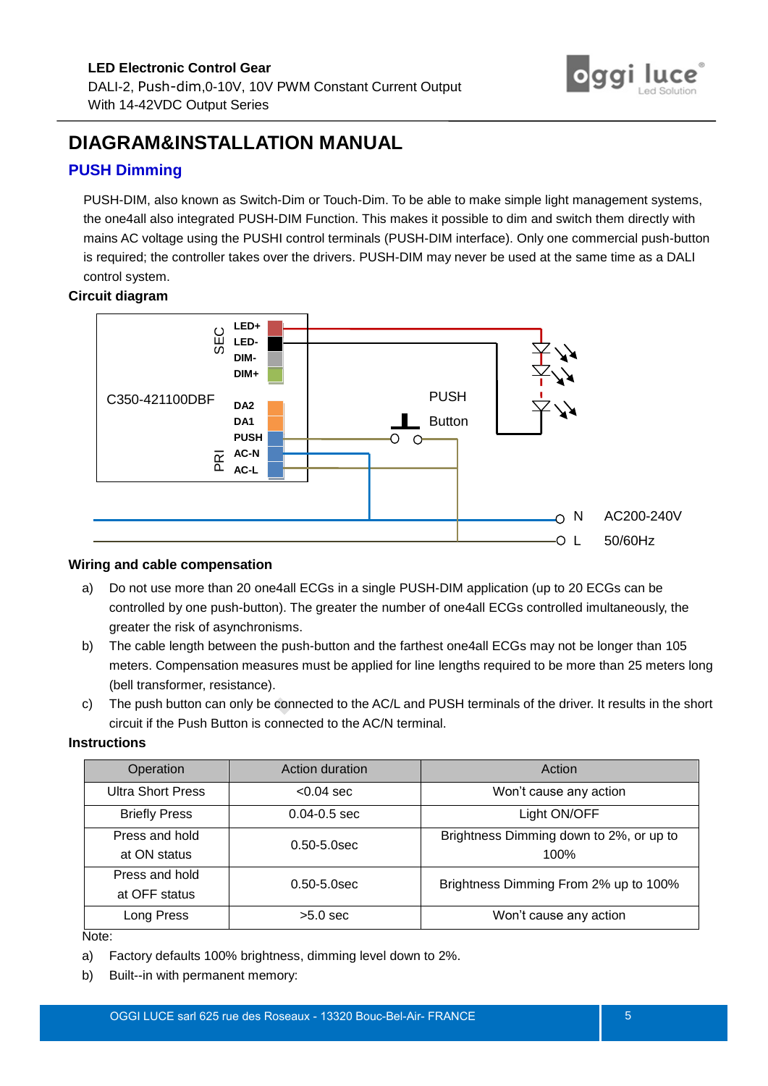

# <span id="page-4-0"></span>**DIAGRAM&INSTALLATION MANUAL**

# <span id="page-4-1"></span>**PUSH Dimming**

PUSH-DIM, also known as Switch-Dim or Touch-Dim. To be able to make simple light management systems, the one4all also integrated PUSH-DIM Function. This makes it possible to dim and switch them directly with mains AC voltage using the PUSHI control terminals (PUSH-DIM interface). Only one commercial push-button is required; the controller takes over the drivers. PUSH-DIM may never be used at the same time as a DALI control system.

#### **Circuit diagram**



#### **Wiring and cable compensation**

- a) Do not use more than 20 one4all ECGs in a single PUSH-DIM application (up to 20 ECGs can be controlled by one push-button). The greater the number of one4all ECGs controlled imultaneously, the greater the risk of asynchronisms.
- b) The cable length between the push-button and the farthest one4all ECGs may not be longer than 105 meters. Compensation measures must be applied for line lengths required to be more than 25 meters long (bell transformer, resistance).
- c) The push button can only be connected to the AC/L and PUSH terminals of the driver. It results in the short circuit if the Push Button is connected to the AC/N terminal.

#### **Instructions**

| Operation                | Action duration  | Action                                  |
|--------------------------|------------------|-----------------------------------------|
| <b>Ultra Short Press</b> | $< 0.04$ sec     | Won't cause any action                  |
| <b>Briefly Press</b>     | $0.04 - 0.5$ sec | Light ON/OFF                            |
| Press and hold           | $0.50 - 5.0$ sec | Brightness Dimming down to 2%, or up to |
| at ON status             |                  | 100%                                    |
| Press and hold           | $0.50 - 5.0$ sec | Brightness Dimming From 2% up to 100%   |
| at OFF status            |                  |                                         |
| Long Press               | $>5.0$ sec       | Won't cause any action                  |

#### Note:

- a) Factory defaults 100% brightness, dimming level down to 2%.
- b) Built--in with permanent memory: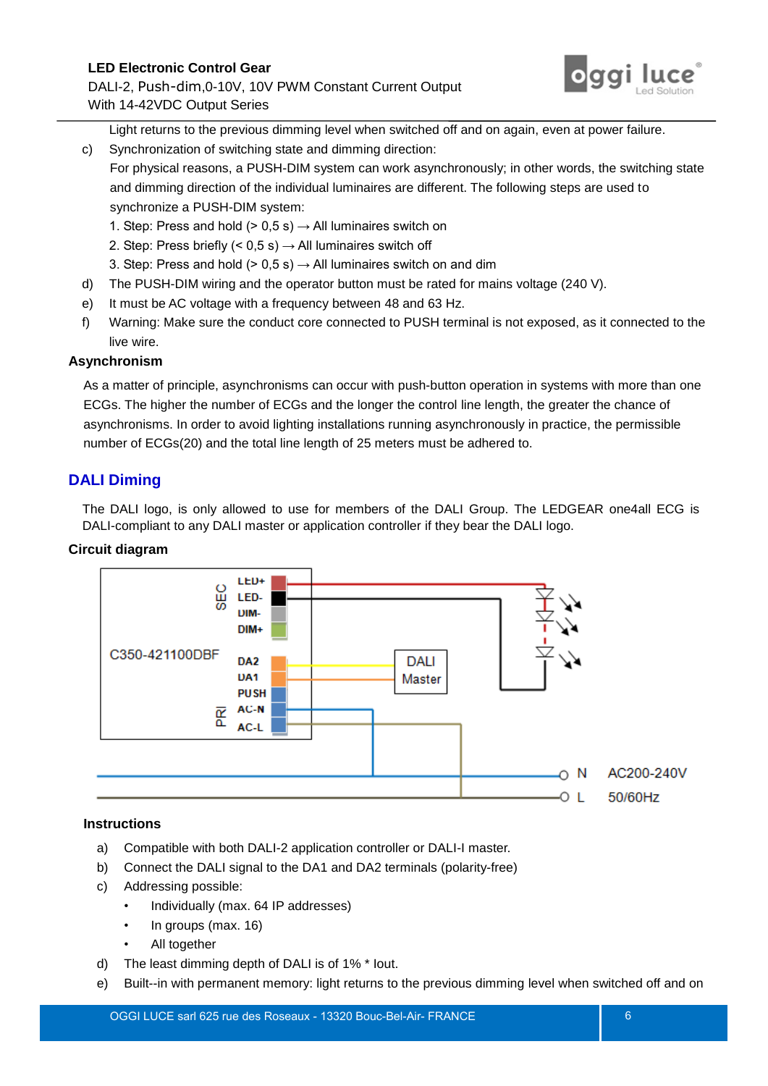DALI-2, Push-dim,0-10V, 10V PWM Constant Current Output With 14-42VDC Output Series



Light returns to the previous dimming level when switched off and on again, even at power failure.

- c) Synchronization of switching state and dimming direction:
	- For physical reasons, a PUSH-DIM system can work asynchronously; in other words, the switching state and dimming direction of the individual luminaires are different. The following steps are used to synchronize a PUSH-DIM system:
		- 1. Step: Press and hold ( $> 0.5$  s)  $\rightarrow$  All luminaires switch on
		- 2. Step: Press briefly (< 0,5 s)  $\rightarrow$  All luminaires switch off
		- 3. Step: Press and hold ( $> 0.5$  s)  $\rightarrow$  All luminaires switch on and dim
- d) The PUSH-DIM wiring and the operator button must be rated for mains voltage (240 V).
- e) It must be AC voltage with a frequency between 48 and 63 Hz.
- f) Warning: Make sure the conduct core connected to PUSH terminal is not exposed, as it connected to the live wire.

### **Asynchronism**

As a matter of principle, asynchronisms can occur with push-button operation in systems with more than one ECGs. The higher the number of ECGs and the longer the control line length, the greater the chance of asynchronisms. In order to avoid lighting installations running asynchronously in practice, the permissible number of ECGs(20) and the total line length of 25 meters must be adhered to.

# <span id="page-5-0"></span>**DALI Diming**

The DALI logo, is only allowed to use for members of the DALI Group. The LEDGEAR one4all ECG is DALI-compliant to any DALI master or application controller if they bear the DALI logo.

### **Circuit diagram**



### **Instructions**

- a) Compatible with both DALI-2 application controller or DALI-I master.
- b) Connect the DALI signal to the DA1 and DA2 terminals (polarity-free)
- c) Addressing possible:
	- Individually (max. 64 IP addresses)
	- In groups (max. 16)
	- All together
- d) The least dimming depth of DALI is of 1% \* Iout.
- e) Built--in with permanent memory: light returns to the previous dimming level when switched off and on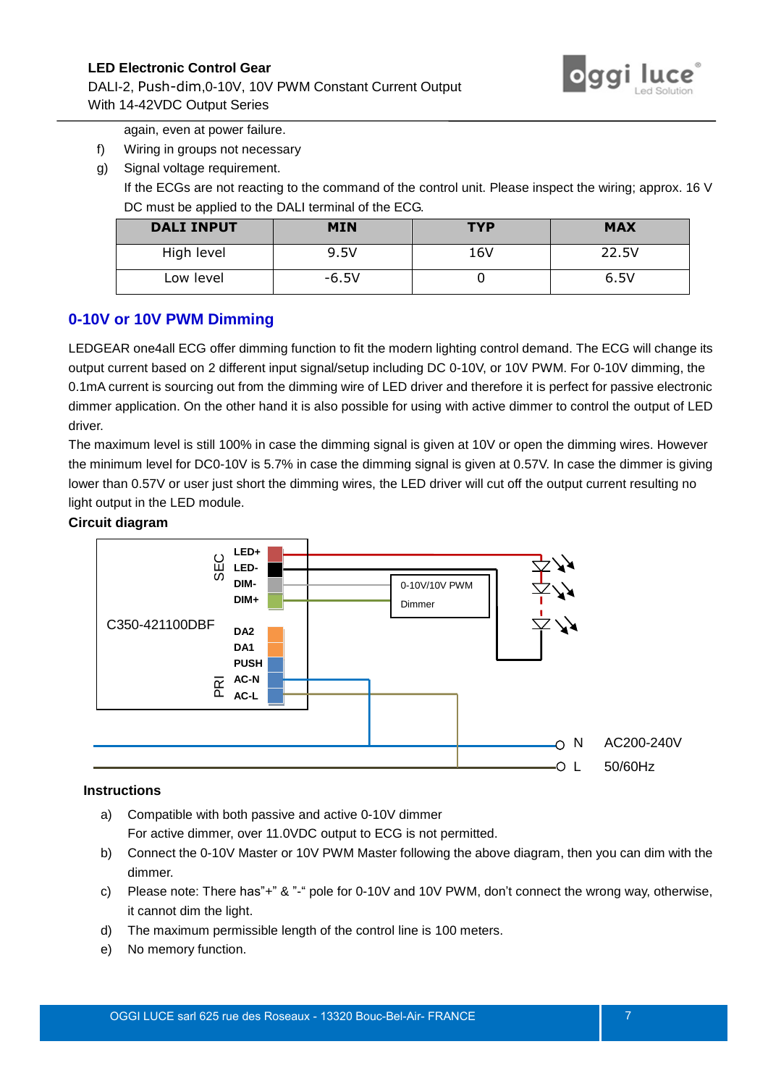# DALI-2, Push-dim,0-10V, 10V PWM Constant Current Output



With 14-42VDC Output Series

again, even at power failure.

- f) Wiring in groups not necessary
- g) Signal voltage requirement.

If the ECGs are not reacting to the command of the control unit. Please inspect the wiring; approx. 16 V DC must be applied to the DALI terminal of the ECG.

| <b>DALI INPUT</b> | <b>MIN</b> | <b>TYP</b> | <b>MAX</b> |
|-------------------|------------|------------|------------|
| High level        | 9.5V       | 16V        | 22.5V      |
| Low level         | $-6.5V$    |            | 6.5V       |

# <span id="page-6-0"></span>**0-10V or 10V PWM Dimming**

LEDGEAR one4all ECG offer dimming function to fit the modern lighting control demand. The ECG will change its output current based on 2 different input signal/setup including DC 0-10V, or 10V PWM. For 0-10V dimming, the 0.1mA current is sourcing out from the dimming wire of LED driver and therefore it is perfect for passive electronic dimmer application. On the other hand it is also possible for using with active dimmer to control the output of LED driver.

The maximum level is still 100% in case the dimming signal is given at 10V or open the dimming wires. However the minimum level for DC0-10V is 5.7% in case the dimming signal is given at 0.57V. In case the dimmer is giving lower than 0.57V or user just short the dimming wires, the LED driver will cut off the output current resulting no light output in the LED module.

### **Circuit diagram**



### **Instructions**

- a) Compatible with both passive and active 0-10V dimmer For active dimmer, over 11.0VDC output to ECG is not permitted.
- b) Connect the 0-10V Master or 10V PWM Master following the above diagram, then you can dim with the dimmer.
- c) Please note: There has"+" & "-" pole for 0-10V and 10V PWM, don't connect the wrong way, otherwise, it cannot dim the light.
- d) The maximum permissible length of the control line is 100 meters.
- e) No memory function.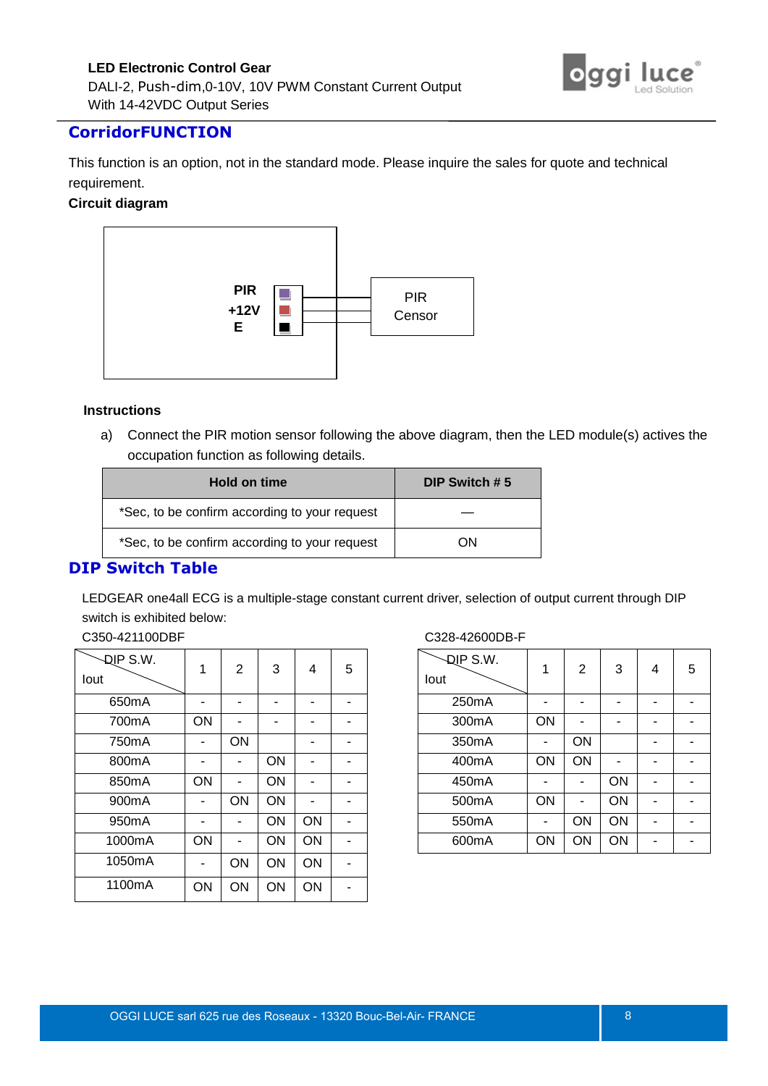

# <span id="page-7-0"></span>**CorridorFUNCTION**

This function is an option, not in the standard mode. Please inquire the sales for quote and technical requirement.

#### **Circuit diagram**



#### **Instructions**

a) Connect the PIR motion sensor following the above diagram, then the LED module(s) actives the occupation function as following details.

| Hold on time                                  | DIP Switch #5 |
|-----------------------------------------------|---------------|
| *Sec, to be confirm according to your request |               |
| *Sec, to be confirm according to your request | OΝ            |

# <span id="page-7-1"></span>**DIP Switch Table**

LEDGEAR one4all ECG is a multiple-stage constant current driver, selection of output current through DIP switch is exhibited below:

C350-421100DBF

| DIP S.W.<br>lout   | 1  | $\overline{c}$ | 3  | 4  | 5 |
|--------------------|----|----------------|----|----|---|
| 650 <sub>m</sub> A |    |                |    |    |   |
| 700mA              | ON |                |    |    |   |
| 750 <sub>m</sub> A |    | ON             |    |    |   |
| 800 <sub>m</sub> A |    |                | ON |    |   |
| 850mA              | ON |                | ON |    |   |
| 900 <sub>m</sub> A |    | ON             | ON |    |   |
| 950 <sub>m</sub> A |    |                | ON | ON |   |
| 1000mA             | ON |                | ON | ON |   |
| 1050mA             |    | ON             | ON | ON |   |
| 1100mA             | ON | ON             | ON | ON |   |

#### C328-42600DB-F

| <b>DIP S.W.</b><br>lout | 1  | 2  | 3  | 4 | 5 |
|-------------------------|----|----|----|---|---|
| 250mA                   |    |    |    |   |   |
| 300mA                   | ON |    |    |   |   |
| 350mA                   |    | ON |    |   |   |
| 400 <sub>m</sub> A      | ON | ON |    |   |   |
| 450 <sub>m</sub> A      |    |    | ON |   |   |
| 500mA                   | ON |    | ON |   |   |
| 550 <sub>m</sub> A      |    | ON | ON |   |   |
| 600 <sub>m</sub> A      | ON | ON | ON |   |   |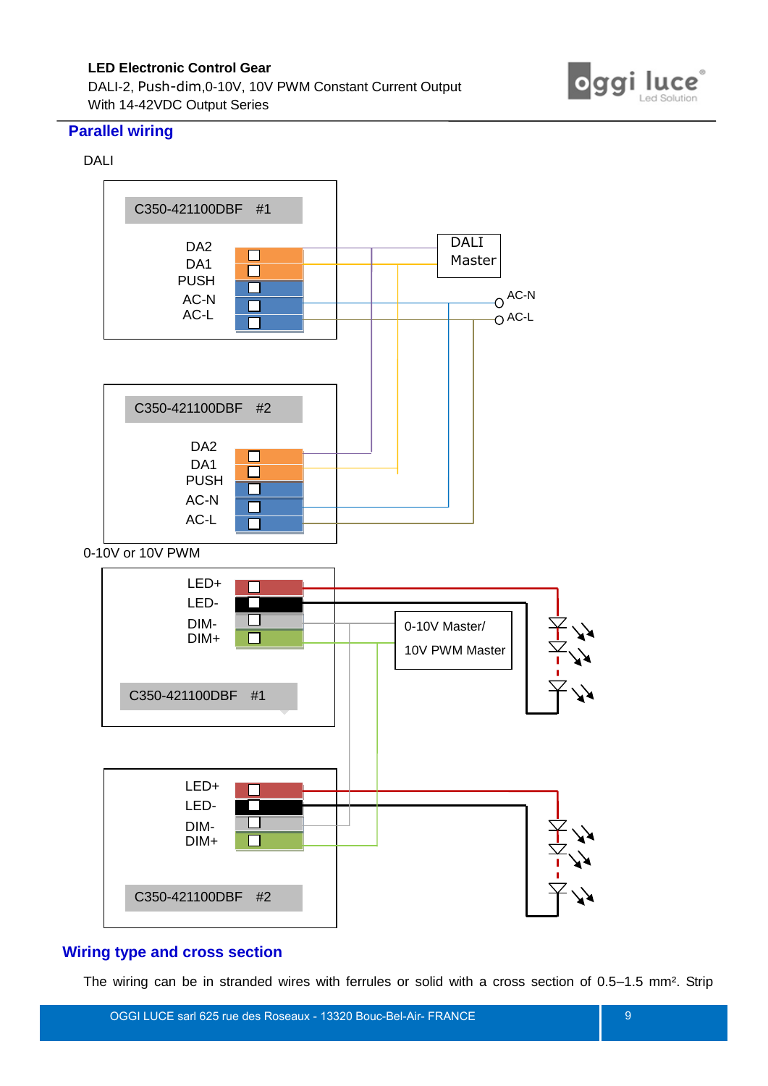DALI-2, Push-dim,0-10V, 10V PWM Constant Current Output With 14-42VDC Output Series



### <span id="page-8-0"></span>**Parallel wiring**

### DALI



# <span id="page-8-1"></span>**Wiring type and cross section**

The wiring can be in stranded wires with ferrules or solid with a cross section of 0.5–1.5 mm². Strip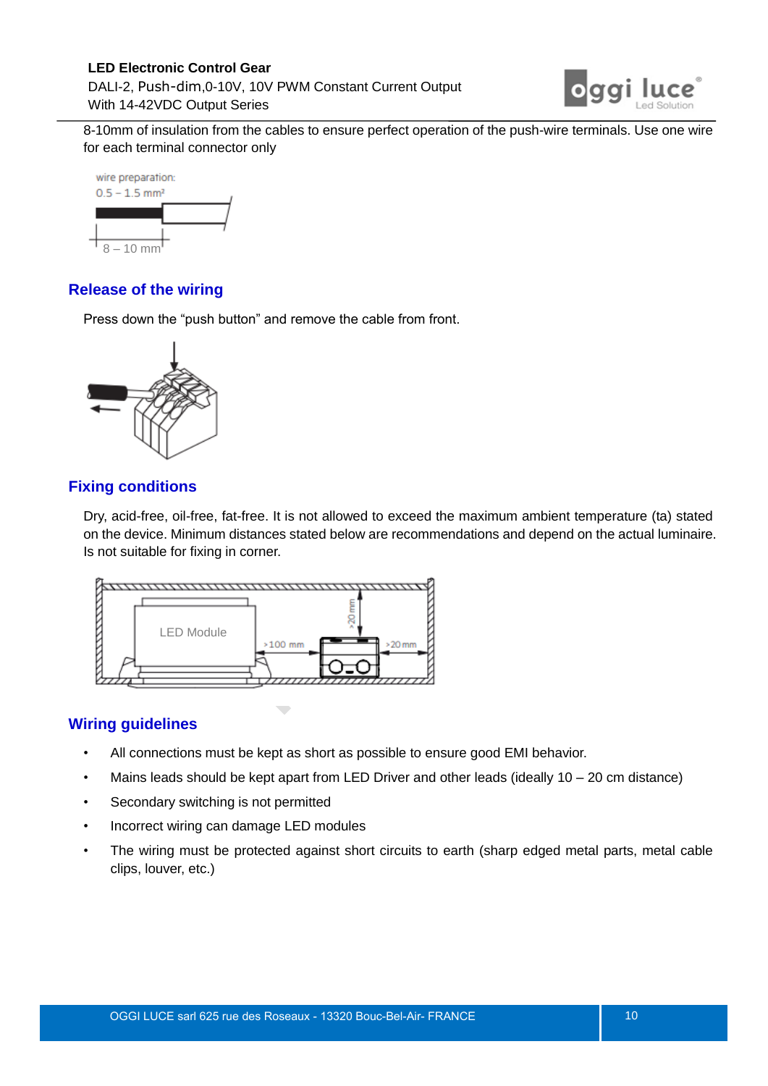# **LED Electronic Control Gear**  DALI-2, Push-dim,0-10V, 10V PWM Constant Current Output With 14-42VDC Output Series



8-10mm of insulation from the cables to ensure perfect operation of the push-wire terminals. Use one wire for each terminal connector only



# <span id="page-9-0"></span>**Release of the wiring**

Press down the "push button" and remove the cable from front.



# <span id="page-9-1"></span>**Fixing conditions**

Dry, acid-free, oil-free, fat-free. It is not allowed to exceed the maximum ambient temperature (ta) stated on the device. Minimum distances stated below are recommendations and depend on the actual luminaire. Is not suitable for fixing in corner.



 $\overline{\phantom{a}}$ 

# <span id="page-9-2"></span>**Wiring guidelines**

- All connections must be kept as short as possible to ensure good EMI behavior.
- Mains leads should be kept apart from LED Driver and other leads (ideally 10 20 cm distance)
- Secondary switching is not permitted
- Incorrect wiring can damage LED modules
- The wiring must be protected against short circuits to earth (sharp edged metal parts, metal cable clips, louver, etc.)